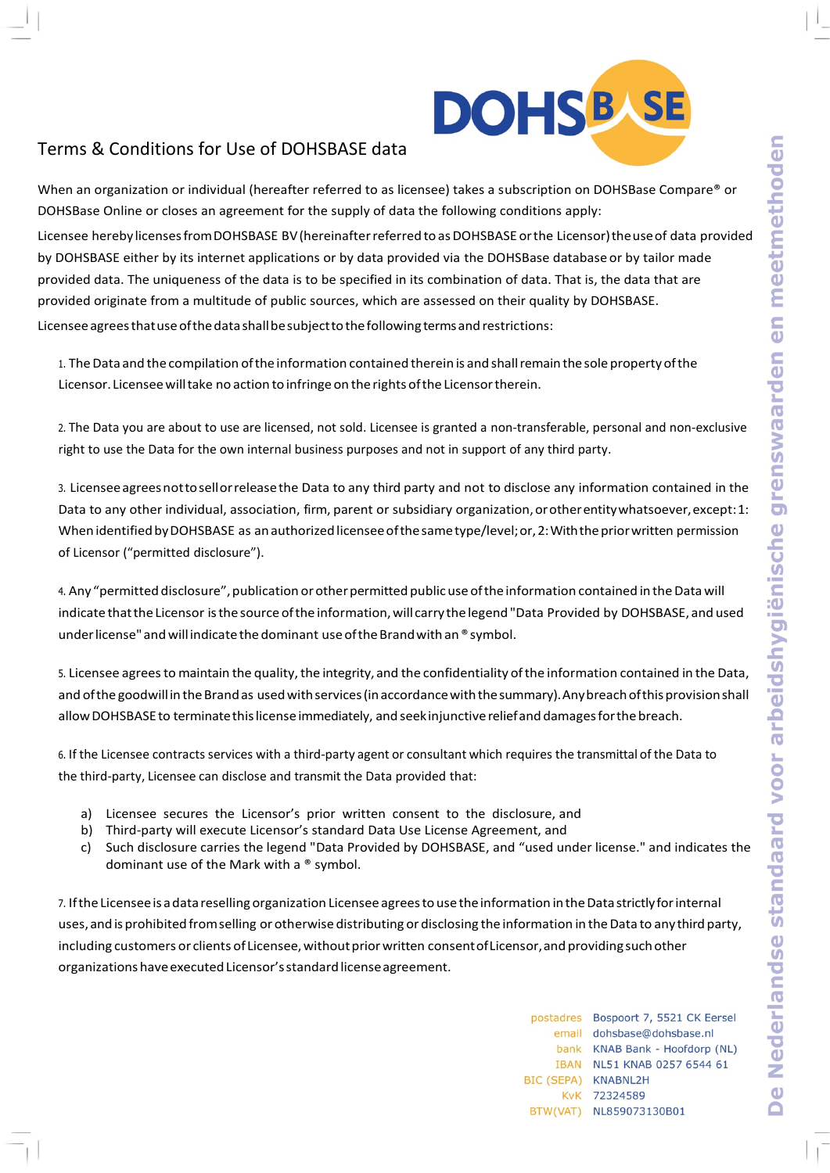

## Terms & Conditions for Use of DOHSBASE data

When an organization or individual (hereafter referred to as licensee) takes a subscription on DOHSBase Compare® or DOHSBase Online or closes an agreement for the supply of data the following conditions apply:

Licensee hereby licensesfromDOHSBASE BV(hereinafterreferred toasDOHSBASE orthe Licensor)theuseof data provided by DOHSBASE either by its internet applications or by data provided via the DOHSBase database or by tailor made provided data. The uniqueness of the data is to be specified in its combination of data. That is, the data that are provided originate from a multitude of public sources, which are assessed on their quality by DOHSBASE. Licenseeagreesthatuseofthedatashallbesubjecttothefollowing termsandrestrictions:

1. The Data and the compilation of the information contained therein is and shall remain the sole property of the Licensor. Licensee will take no action to infringe on the rights of the Licensor therein.

2. The Data you are about to use are licensed, not sold. Licensee is granted a non-transferable, personal and non-exclusive right to use the Data for the own internal business purposes and not in support of any third party.

3. Licenseeagreesnottosellorreleasethe Data to any third party and not to disclose any information contained in the Data to any other individual, association, firm, parent or subsidiary organization, or other entity whatsoever, except:1: When identified by DOHSBASE as an authorized licensee of the same type/level; or, 2: With the prior written permission of Licensor ("permitted disclosure").

4. Any "permitted disclosure", publication or other permitted public use of the information contained in the Data will indicate that the Licensor is the source of the information, will carry the legend "Data Provided by DOHSBASE, and used under license" and will indicate the dominant use of the Brand with an ®symbol.

5. Licensee agrees to maintain the quality, the integrity, and the confidentiality of the information contained in the Data, and of the goodwill in the Brand as used with services (in accordance with the summary). Any breach of this provision shall allow DOHSBASE to terminate this license immediately, and seekinjunctive relief and damages for the breach.

6. If the Licensee contracts services with a third-party agent or consultant which requires the transmittal of the Data to the third-party, Licensee can disclose and transmit the Data provided that:

- a) Licensee secures the Licensor's prior written consent to the disclosure, and
- b) Third-party will execute Licensor's standard Data Use License Agreement, and
- c) Such disclosure carries the legend "Data Provided by DOHSBASE, and "used under license." and indicates the dominant use of the Mark with a ® symbol.

7. IftheLicenseeis adataresellingorganization Licenseeagreestousetheinformation intheDatastrictlyforinternal uses, and is prohibited from selling or otherwise distributing or disclosing the information in the Data to any third party, including customers or clients of Licensee, without prior written consent of Licensor, and providing such other organizations have executed Licensor's standard license agreement.

|                     | postadres Bospoort 7, 5521 CK Eersel |
|---------------------|--------------------------------------|
|                     | email dohsbase@dohsbase.nl           |
|                     | bank KNAB Bank - Hoofdorp (NL)       |
|                     | IBAN NL51 KNAB 0257 6544 61          |
| BIC (SEPA) KNABNL2H |                                      |
|                     | KvK 72324589                         |
|                     | BTW(VAT) NL859073130B01              |